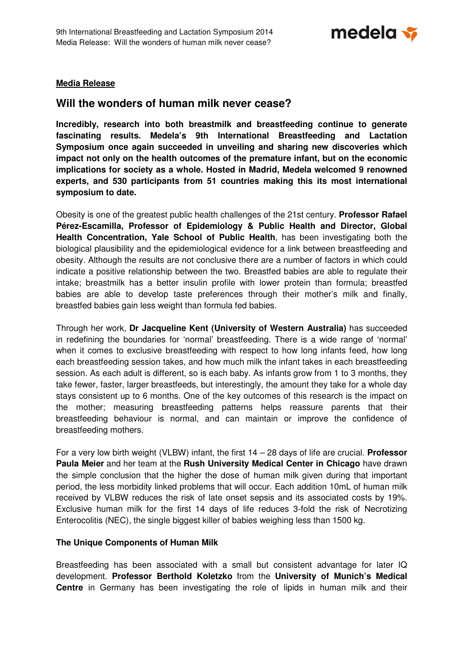medela v

### **Media Release**

# **Will the wonders of human milk never cease?**

**Incredibly, research into both breastmilk and breastfeeding continue to generate fascinating results. Medela's 9th International Breastfeeding and Lactation Symposium once again succeeded in unveiling and sharing new discoveries which impact not only on the health outcomes of the premature infant, but on the economic implications for society as a whole. Hosted in Madrid, Medela welcomed 9 renowned experts, and 530 participants from 51 countries making this its most international symposium to date.** 

Obesity is one of the greatest public health challenges of the 21st century. **Professor Rafael Pérez-Escamilla, Professor of Epidemiology & Public Health and Director, Global Health Concentration, Yale School of Public Health**, has been investigating both the biological plausibility and the epidemiological evidence for a link between breastfeeding and obesity. Although the results are not conclusive there are a number of factors in which could indicate a positive relationship between the two. Breastfed babies are able to regulate their intake; breastmilk has a better insulin profile with lower protein than formula; breastfed babies are able to develop taste preferences through their mother's milk and finally, breastfed babies gain less weight than formula fed babies.

Through her work, **Dr Jacqueline Kent (University of Western Australia)** has succeeded in redefining the boundaries for 'normal' breastfeeding. There is a wide range of 'normal' when it comes to exclusive breastfeeding with respect to how long infants feed, how long each breastfeeding session takes, and how much milk the infant takes in each breastfeeding session. As each adult is different, so is each baby. As infants grow from 1 to 3 months, they take fewer, faster, larger breastfeeds, but interestingly, the amount they take for a whole day stays consistent up to 6 months. One of the key outcomes of this research is the impact on the mother; measuring breastfeeding patterns helps reassure parents that their breastfeeding behaviour is normal, and can maintain or improve the confidence of breastfeeding mothers.

For a very low birth weight (VLBW) infant, the first 14 – 28 days of life are crucial. **Professor Paula Meier** and her team at the **Rush University Medical Center in Chicago** have drawn the simple conclusion that the higher the dose of human milk given during that important period, the less morbidity linked problems that will occur. Each addition 10mL of human milk received by VLBW reduces the risk of late onset sepsis and its associated costs by 19%. Exclusive human milk for the first 14 days of life reduces 3-fold the risk of Necrotizing Enterocolitis (NEC), the single biggest killer of babies weighing less than 1500 kg.

#### **The Unique Components of Human Milk**

Breastfeeding has been associated with a small but consistent advantage for later IQ development. **Professor Berthold Koletzko** from the **University of Munich's Medical Centre** in Germany has been investigating the role of lipids in human milk and their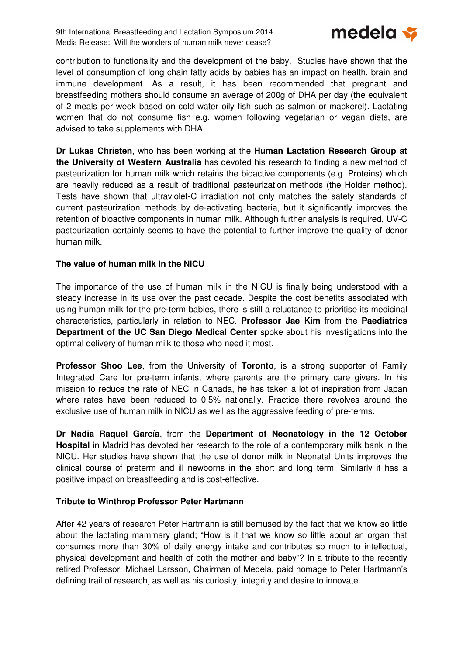9th International Breastfeeding and Lactation Symposium 2014 Media Release: Will the wonders of human milk never cease?



contribution to functionality and the development of the baby. Studies have shown that the level of consumption of long chain fatty acids by babies has an impact on health, brain and immune development. As a result, it has been recommended that pregnant and breastfeeding mothers should consume an average of 200g of DHA per day (the equivalent of 2 meals per week based on cold water oily fish such as salmon or mackerel). Lactating women that do not consume fish e.g. women following vegetarian or vegan diets, are advised to take supplements with DHA.

**Dr Lukas Christen**, who has been working at the **Human Lactation Research Group at the University of Western Australia** has devoted his research to finding a new method of pasteurization for human milk which retains the bioactive components (e.g. Proteins) which are heavily reduced as a result of traditional pasteurization methods (the Holder method). Tests have shown that ultraviolet-C irradiation not only matches the safety standards of current pasteurization methods by de-activating bacteria, but it significantly improves the retention of bioactive components in human milk. Although further analysis is required, UV-C pasteurization certainly seems to have the potential to further improve the quality of donor human milk.

## **The value of human milk in the NICU**

The importance of the use of human milk in the NICU is finally being understood with a steady increase in its use over the past decade. Despite the cost benefits associated with using human milk for the pre-term babies, there is still a reluctance to prioritise its medicinal characteristics, particularly in relation to NEC. **Professor Jae Kim** from the **Paediatrics Department of the UC San Diego Medical Center** spoke about his investigations into the optimal delivery of human milk to those who need it most.

**Professor Shoo Lee**, from the University of **Toronto**, is a strong supporter of Family Integrated Care for pre-term infants, where parents are the primary care givers. In his mission to reduce the rate of NEC in Canada, he has taken a lot of inspiration from Japan where rates have been reduced to 0.5% nationally. Practice there revolves around the exclusive use of human milk in NICU as well as the aggressive feeding of pre-terms.

**Dr Nadia Raquel García**, from the **Department of Neonatology in the 12 October Hospital** in Madrid has devoted her research to the role of a contemporary milk bank in the NICU. Her studies have shown that the use of donor milk in Neonatal Units improves the clinical course of preterm and ill newborns in the short and long term. Similarly it has a positive impact on breastfeeding and is cost-effective.

## **Tribute to Winthrop Professor Peter Hartmann**

After 42 years of research Peter Hartmann is still bemused by the fact that we know so little about the lactating mammary gland; "How is it that we know so little about an organ that consumes more than 30% of daily energy intake and contributes so much to intellectual, physical development and health of both the mother and baby"? In a tribute to the recently retired Professor, Michael Larsson, Chairman of Medela, paid homage to Peter Hartmann's defining trail of research, as well as his curiosity, integrity and desire to innovate.